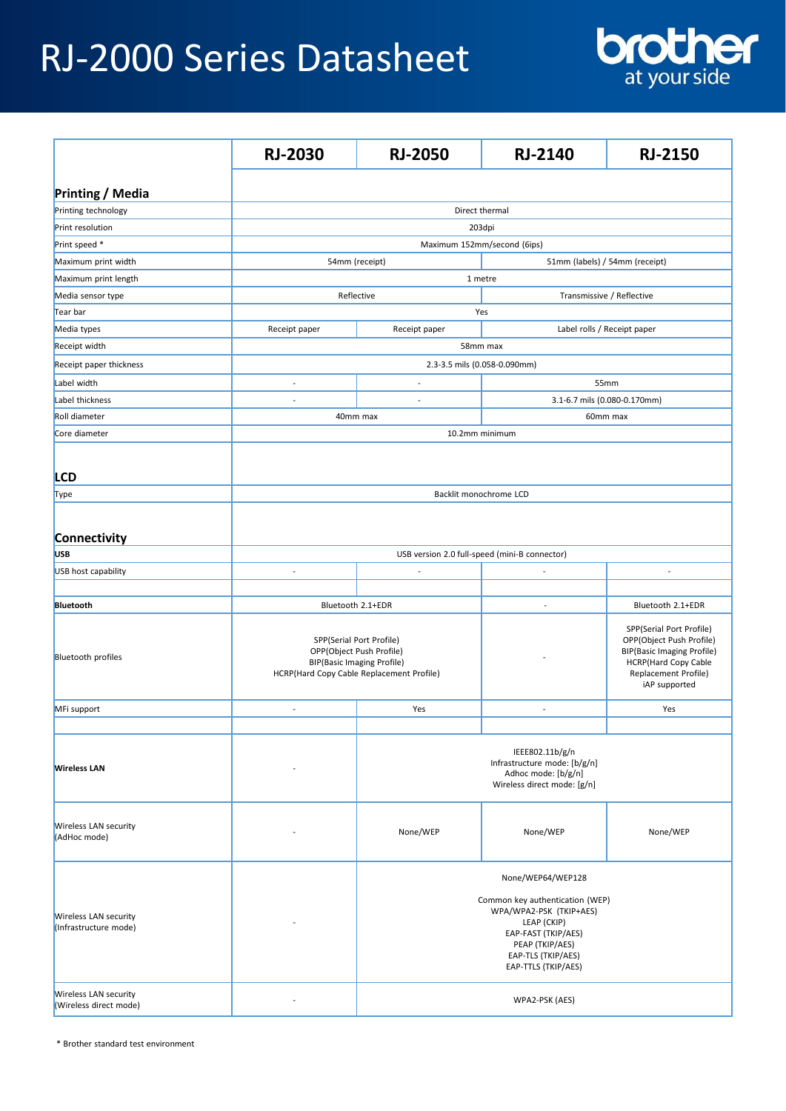## RJ-2000 Series Datasheet



|                                                        | <b>RJ-2030</b>                                                                                                                         | <b>RJ-2050</b>                                                                                                                                                   | <b>RJ-2140</b>                 | <b>RJ-2150</b>                                                                                                                                                           |  |  |
|--------------------------------------------------------|----------------------------------------------------------------------------------------------------------------------------------------|------------------------------------------------------------------------------------------------------------------------------------------------------------------|--------------------------------|--------------------------------------------------------------------------------------------------------------------------------------------------------------------------|--|--|
| <b>Printing / Media</b>                                |                                                                                                                                        |                                                                                                                                                                  |                                |                                                                                                                                                                          |  |  |
| Printing technology                                    | Direct thermal                                                                                                                         |                                                                                                                                                                  |                                |                                                                                                                                                                          |  |  |
| <b>Print resolution</b>                                |                                                                                                                                        |                                                                                                                                                                  |                                |                                                                                                                                                                          |  |  |
| Print speed *                                          | 203dpi<br>Maximum 152mm/second (6ips)                                                                                                  |                                                                                                                                                                  |                                |                                                                                                                                                                          |  |  |
| Maximum print width                                    |                                                                                                                                        |                                                                                                                                                                  | 51mm (labels) / 54mm (receipt) |                                                                                                                                                                          |  |  |
| Maximum print length                                   | 54mm (receipt)<br>1 metre                                                                                                              |                                                                                                                                                                  |                                |                                                                                                                                                                          |  |  |
| Media sensor type                                      | Reflective<br>Transmissive / Reflective                                                                                                |                                                                                                                                                                  |                                |                                                                                                                                                                          |  |  |
| Tear bar                                               | Yes                                                                                                                                    |                                                                                                                                                                  |                                |                                                                                                                                                                          |  |  |
| Media types                                            | Receipt paper                                                                                                                          | Receipt paper<br>Label rolls / Receipt paper                                                                                                                     |                                |                                                                                                                                                                          |  |  |
| Receipt width                                          |                                                                                                                                        |                                                                                                                                                                  |                                |                                                                                                                                                                          |  |  |
|                                                        | 58mm max                                                                                                                               |                                                                                                                                                                  |                                |                                                                                                                                                                          |  |  |
| Receipt paper thickness                                |                                                                                                                                        | 2.3-3.5 mils (0.058-0.090mm)                                                                                                                                     |                                |                                                                                                                                                                          |  |  |
| Label width                                            | L,                                                                                                                                     | $\overline{\phantom{a}}$                                                                                                                                         | 55mm                           |                                                                                                                                                                          |  |  |
| Label thickness                                        |                                                                                                                                        |                                                                                                                                                                  | 3.1-6.7 mils (0.080-0.170mm)   |                                                                                                                                                                          |  |  |
| Roll diameter                                          | 40mm max<br>60mm max                                                                                                                   |                                                                                                                                                                  |                                |                                                                                                                                                                          |  |  |
| Core diameter                                          | 10.2mm minimum                                                                                                                         |                                                                                                                                                                  |                                |                                                                                                                                                                          |  |  |
|                                                        |                                                                                                                                        |                                                                                                                                                                  |                                |                                                                                                                                                                          |  |  |
| <b>LCD</b>                                             |                                                                                                                                        |                                                                                                                                                                  |                                |                                                                                                                                                                          |  |  |
| Type                                                   | Backlit monochrome LCD                                                                                                                 |                                                                                                                                                                  |                                |                                                                                                                                                                          |  |  |
|                                                        |                                                                                                                                        |                                                                                                                                                                  |                                |                                                                                                                                                                          |  |  |
| Connectivity                                           |                                                                                                                                        |                                                                                                                                                                  |                                |                                                                                                                                                                          |  |  |
| <b>USB</b>                                             | USB version 2.0 full-speed (mini-B connector)                                                                                          |                                                                                                                                                                  |                                |                                                                                                                                                                          |  |  |
| USB host capability                                    | L,                                                                                                                                     | ÷                                                                                                                                                                |                                |                                                                                                                                                                          |  |  |
|                                                        |                                                                                                                                        |                                                                                                                                                                  |                                |                                                                                                                                                                          |  |  |
| Bluetooth                                              |                                                                                                                                        |                                                                                                                                                                  |                                |                                                                                                                                                                          |  |  |
|                                                        | Bluetooth 2.1+EDR<br>Bluetooth 2.1+EDR                                                                                                 |                                                                                                                                                                  |                                |                                                                                                                                                                          |  |  |
| <b>Bluetooth profiles</b>                              | SPP(Serial Port Profile)<br>OPP(Object Push Profile)<br><b>BIP(Basic Imaging Profile)</b><br>HCRP(Hard Copy Cable Replacement Profile) |                                                                                                                                                                  |                                | SPP(Serial Port Profile)<br>OPP(Object Push Profile)<br><b>BIP(Basic Imaging Profile)</b><br><b>HCRP(Hard Copy Cable</b><br><b>Replacement Profile)</b><br>iAP supported |  |  |
| MFi support                                            | $\overline{a}$                                                                                                                         | Yes                                                                                                                                                              | $\overline{\phantom{a}}$       | Yes                                                                                                                                                                      |  |  |
|                                                        |                                                                                                                                        |                                                                                                                                                                  |                                |                                                                                                                                                                          |  |  |
| <b>Wireless LAN</b>                                    |                                                                                                                                        | IEEE802.11b/g/n<br>Infrastructure mode: [b/g/n]<br>Adhoc mode: [b/g/n]<br>Wireless direct mode: [g/n]                                                            |                                |                                                                                                                                                                          |  |  |
| <b>Wireless LAN security</b><br>(AdHoc mode)           |                                                                                                                                        | None/WEP                                                                                                                                                         | None/WEP                       | None/WEP                                                                                                                                                                 |  |  |
|                                                        |                                                                                                                                        |                                                                                                                                                                  | None/WEP64/WEP128              |                                                                                                                                                                          |  |  |
| <b>Wireless LAN security</b><br>(Infrastructure mode)  |                                                                                                                                        | Common key authentication (WEP)<br>WPA/WPA2-PSK (TKIP+AES)<br>LEAP (CKIP)<br>EAP-FAST (TKIP/AES)<br>PEAP (TKIP/AES)<br>EAP-TLS (TKIP/AES)<br>EAP-TTLS (TKIP/AES) |                                |                                                                                                                                                                          |  |  |
| <b>Wireless LAN security</b><br>(Wireless direct mode) |                                                                                                                                        | WPA2-PSK (AES)                                                                                                                                                   |                                |                                                                                                                                                                          |  |  |

\* Brother standard test environment